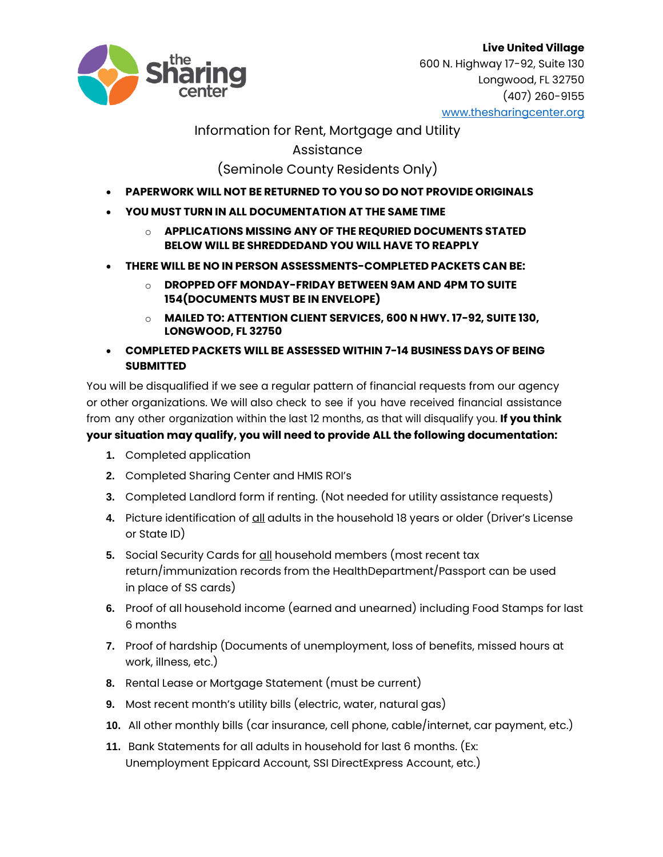

### Information for Rent, Mortgage and Utility

### Assistance

# (Seminole County Residents Only)

- **PAPERWORK WILL NOT BE RETURNED TO YOU SO DO NOT PROVIDE ORIGINALS**
- **YOU MUST TURN IN ALL DOCUMENTATION AT THE SAME TIME**
	- o **APPLICATIONS MISSING ANY OF THE REQURIED DOCUMENTS STATED BELOW WILL BE SHREDDEDAND YOU WILL HAVE TO REAPPLY**
- **THERE WILL BE NO IN PERSON ASSESSMENTS-COMPLETED PACKETS CAN BE:**
	- o **DROPPED OFF MONDAY-FRIDAY BETWEEN 9AM AND 4PM TO SUITE 154(DOCUMENTS MUST BE IN ENVELOPE)**
	- o **MAILED TO: ATTENTION CLIENT SERVICES, 600 N HWY. 17-92, SUITE 130, LONGWOOD, FL 32750**
- **COMPLETED PACKETS WILL BE ASSESSED WITHIN 7-14 BUSINESS DAYS OF BEING SUBMITTED**

You will be disqualified if we see a regular pattern of financial requests from our agency or other organizations. We will also check to see if you have received financial assistance from any other organization within the last 12 months, as that will disqualify you. **If you think your situation may qualify, you will need to provide ALL the following documentation:**

- **1.** Completed application
- **2.** Completed Sharing Center and HMIS ROI's
- **3.** Completed Landlord form if renting. (Not needed for utility assistance requests)
- 4. Picture identification of all adults in the household 18 years or older (Driver's License or State ID)
- **5.** Social Security Cards for all household members (most recent tax return/immunization records from the HealthDepartment/Passport can be used in place of SS cards)
- **6.** Proof of all household income (earned and unearned) including Food Stamps for last 6 months
- **7.** Proof of hardship (Documents of unemployment, loss of benefits, missed hours at work, illness, etc.)
- **8.** Rental Lease or Mortgage Statement (must be current)
- **9.** Most recent month's utility bills (electric, water, natural gas)
- **10.** All other monthly bills (car insurance, cell phone, cable/internet, car payment, etc.)
- **11.** Bank Statements for all adults in household for last 6 months. (Ex: Unemployment Eppicard Account, SSI DirectExpress Account, etc.)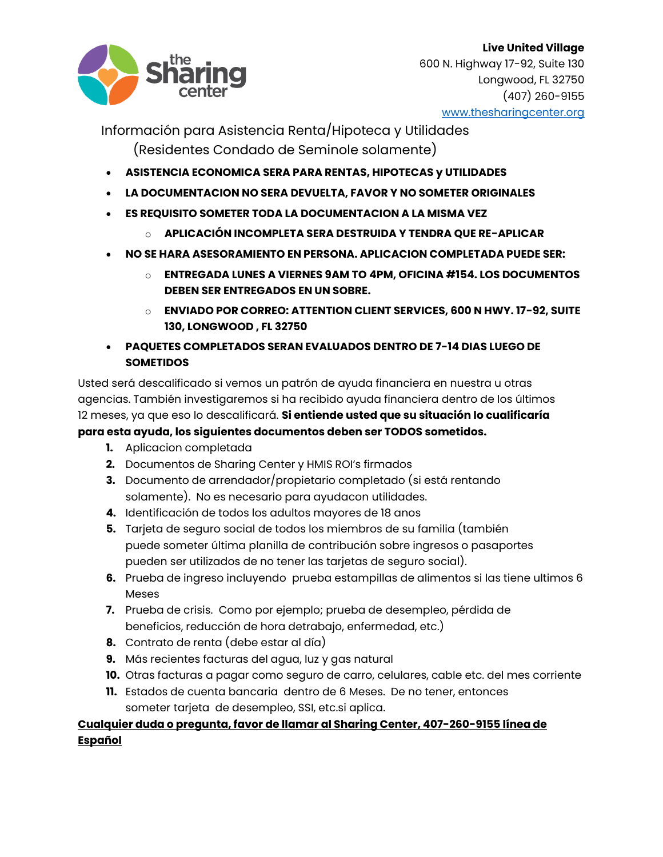

Información para Asistencia Renta/Hipoteca y Utilidades (Residentes Condado de Seminole solamente)

- **ASISTENCIA ECONOMICA SERA PARA RENTAS, HIPOTECAS y UTILIDADES**
- **LA DOCUMENTACION NO SERA DEVUELTA, FAVOR Y NO SOMETER ORIGINALES**
- **ES REQUISITO SOMETER TODA LA DOCUMENTACION A LA MISMA VEZ**
	- o **APLICACIÓN INCOMPLETA SERA DESTRUIDA Y TENDRA QUE RE-APLICAR**
- **NO SE HARA ASESORAMIENTO EN PERSONA. APLICACION COMPLETADA PUEDE SER:**
	- o **ENTREGADA LUNES A VIERNES 9AM TO 4PM, OFICINA #154. LOS DOCUMENTOS DEBEN SER ENTREGADOS EN UN SOBRE.**
	- o **ENVIADO POR CORREO: ATTENTION CLIENT SERVICES, 600 N HWY. 17-92, SUITE 130, LONGWOOD , FL 32750**
- **PAQUETES COMPLETADOS SERAN EVALUADOS DENTRO DE 7-14 DIAS LUEGO DE SOMETIDOS**

Usted será descalificado si vemos un patrón de ayuda financiera en nuestra u otras agencias. También investigaremos si ha recibido ayuda financiera dentro de los últimos 12 meses, ya que eso lo descalificará. **Si entiende usted que su situación lo cualificaría para esta ayuda, los siguientes documentos deben ser TODOS sometidos.**

- **1.** Aplicacion completada
- **2.** Documentos de Sharing Center y HMIS ROI's firmados
- **3.** Documento de arrendador/propietario completado (si está rentando solamente). No es necesario para ayudacon utilidades.
- **4.** Identificación de todos los adultos mayores de 18 anos
- **5.** Tarjeta de seguro social de todos los miembros de su familia (también puede someter última planilla de contribución sobre ingresos o pasaportes pueden ser utilizados de no tener las tarjetas de seguro social).
- **6.** Prueba de ingreso incluyendo prueba estampillas de alimentos si las tiene ultimos 6 Meses
- **7.** Prueba de crisis. Como por ejemplo; prueba de desempleo, pérdida de beneficios, reducción de hora detrabajo, enfermedad, etc.)
- **8.** Contrato de renta (debe estar al día)
- **9.** Más recientes facturas del agua, luz y gas natural
- **10.** Otras facturas a pagar como seguro de carro, celulares, cable etc. del mes corriente
- **11.** Estados de cuenta bancaria dentro de 6 Meses. De no tener, entonces someter tarjeta de desempleo, SSI, etc.si aplica.

## **Cualquier duda o pregunta, favor de llamar al Sharing Center, 407-260-9155 línea de Español**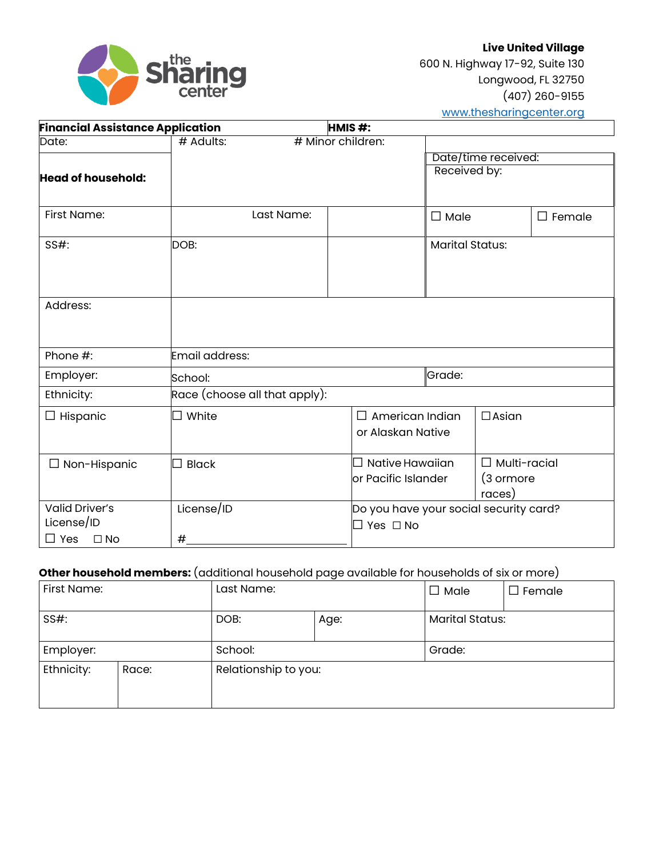

| <b>Financial Assistance Application</b> |                               | HMIS#:                                      |                        |                                            |               |
|-----------------------------------------|-------------------------------|---------------------------------------------|------------------------|--------------------------------------------|---------------|
| Date:                                   | $#$ Adults:                   | # Minor children:                           |                        |                                            |               |
|                                         |                               |                                             |                        | Date/time received:                        |               |
| <b>Head of household:</b>               |                               |                                             | Received by:           |                                            |               |
|                                         |                               |                                             |                        |                                            |               |
| First Name:                             | Last Name:                    |                                             | $\square$ Male         |                                            | $\Box$ Female |
| SS#:                                    | DOB:                          |                                             | <b>Marital Status:</b> |                                            |               |
| Address:                                |                               |                                             |                        |                                            |               |
| Phone #:                                | Email address:                |                                             |                        |                                            |               |
| Employer:                               | School:                       |                                             | Grade:                 |                                            |               |
| Ethnicity:                              | Race (choose all that apply): |                                             |                        |                                            |               |
| $\Box$ Hispanic                         | $\Box$ White                  | $\Box$ American Indian<br>or Alaskan Native |                        | $\Box$ Asian                               |               |
| $\Box$ Non-Hispanic                     | <b>Black</b>                  | Native Hawaiian<br>or Pacific Islander      |                        | $\Box$ Multi-racial<br>(3 ormore<br>races) |               |
| <b>Valid Driver's</b>                   | License/ID                    | Do you have your social security card?      |                        |                                            |               |
| License/ID                              |                               | $\square$ Yes $\square$ No                  |                        |                                            |               |
| $\Box$ Yes<br>$\square$ No              | #                             |                                             |                        |                                            |               |

### **Other household members:** (additional household page available for households of six or more)

| First Name: |       | Last Name:           |  | $\Box$ Male            | $\square$ Female |
|-------------|-------|----------------------|--|------------------------|------------------|
| $SS#$ :     |       | DOB:<br>Age:         |  | <b>Marital Status:</b> |                  |
| Employer:   |       | School:              |  | Grade:                 |                  |
| Ethnicity:  | Race: | Relationship to you: |  |                        |                  |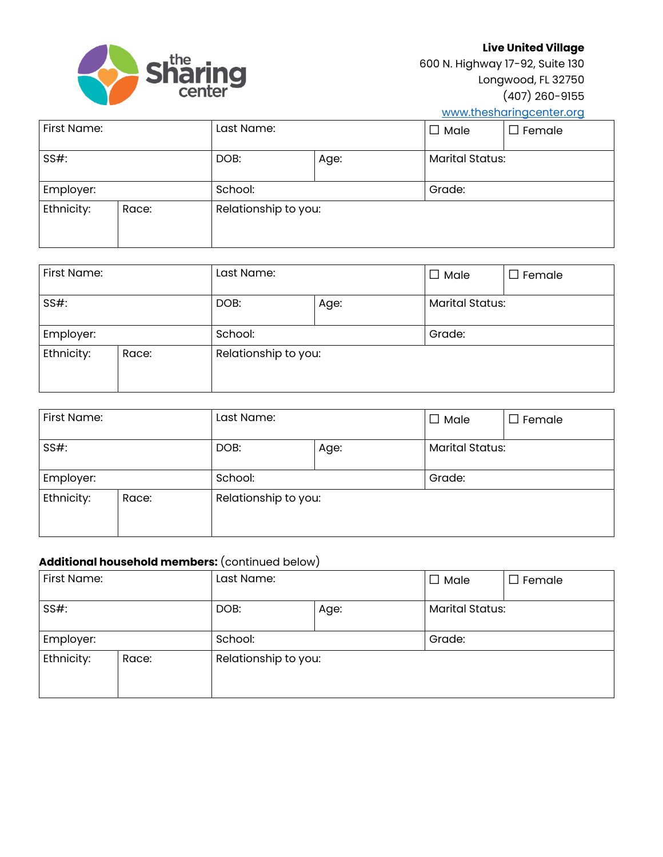

**Live United Village**

600 N. Highway 17-92, Suite 130 Longwood, FL 32750 (407) 260-9155

[www.thesharingcenter.org](http://www.thesharingcenter.org/)

| First Name: |       | Last Name:           |  | $\square$ Male         | $\Box$ Female |
|-------------|-------|----------------------|--|------------------------|---------------|
| $SS#$ :     |       | DOB:<br>Age:         |  | <b>Marital Status:</b> |               |
| Employer:   |       | School:              |  | Grade:                 |               |
| Ethnicity:  | Race: | Relationship to you: |  |                        |               |

| First Name: |       | Last Name:           |  | $\Box$ Male            | $\Box$ Female |
|-------------|-------|----------------------|--|------------------------|---------------|
| $SS#$ :     |       | DOB:<br>Age:         |  | <b>Marital Status:</b> |               |
| Employer:   |       | School:              |  | Grade:                 |               |
| Ethnicity:  | Race: | Relationship to you: |  |                        |               |

| First Name: |       | Last Name:           |  | $\Box$ Male            | $\Box$ Female |
|-------------|-------|----------------------|--|------------------------|---------------|
| $SS#$ :     |       | DOB:<br>Age:         |  | <b>Marital Status:</b> |               |
| Employer:   |       | School:              |  | Grade:                 |               |
| Ethnicity:  | Race: | Relationship to you: |  |                        |               |

### **Additional household members:** (continued below)

| First Name: |       | Last Name:           |  | $\Box$ Male            | $\Box$ Female |
|-------------|-------|----------------------|--|------------------------|---------------|
| $SS#$ :     |       | DOB:<br>Age:         |  | <b>Marital Status:</b> |               |
| Employer:   |       | School:              |  | Grade:                 |               |
| Ethnicity:  | Race: | Relationship to you: |  |                        |               |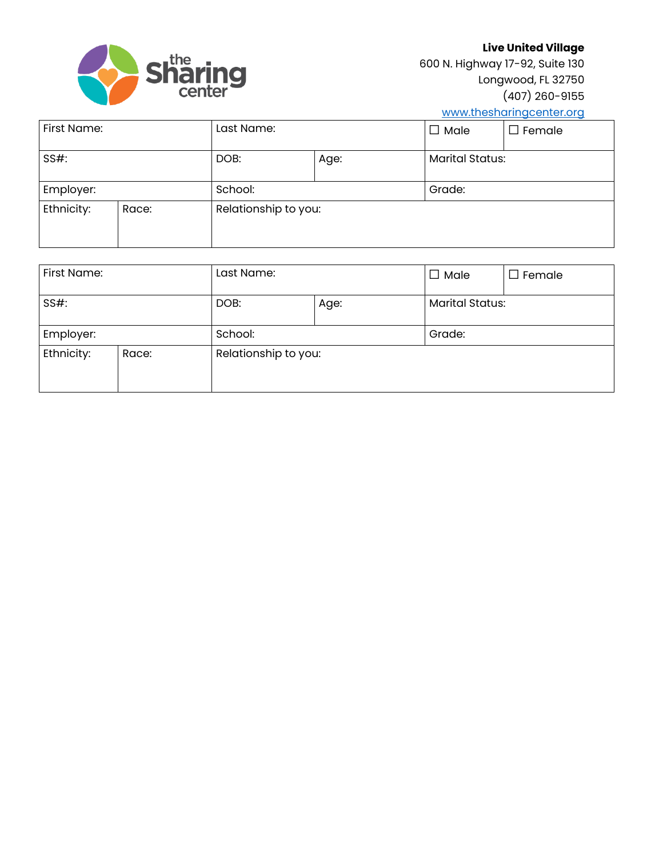

**Live United Village**

600 N. Highway 17-92, Suite 130 Longwood, FL 32750 (407) 260-9155

[www.thesharingcenter.org](http://www.thesharingcenter.org/)

| First Name: |       | Last Name:           |  | $\square$ Male         | $\square$ Female |
|-------------|-------|----------------------|--|------------------------|------------------|
| $SS#$ :     |       | DOB:<br>Age:         |  | <b>Marital Status:</b> |                  |
| Employer:   |       | School:              |  | Grade:                 |                  |
| Ethnicity:  | Race: | Relationship to you: |  |                        |                  |

| First Name: |       | Last Name:           |  | $\Box$ Male            | $\Box$ Female |
|-------------|-------|----------------------|--|------------------------|---------------|
| $SS#$ :     |       | DOB:<br>Age:         |  | <b>Marital Status:</b> |               |
| Employer:   |       | School:              |  | Grade:                 |               |
| Ethnicity:  | Race: | Relationship to you: |  |                        |               |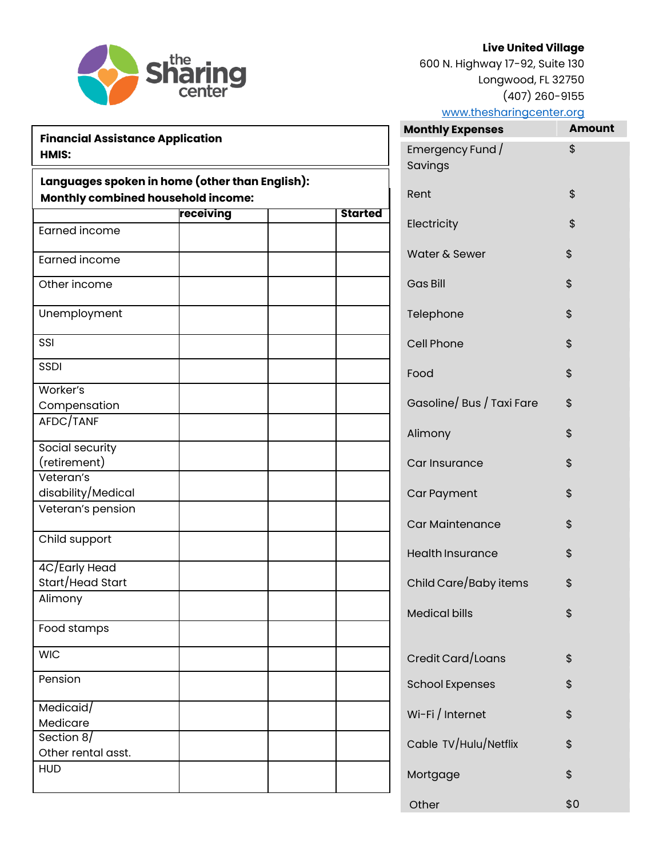

600 N. Highway 17-92, Suite 130 Longwood, FL 32750 (407) 260-9155

| <b>Sharing</b>                                                                           |           |  |  |  |
|------------------------------------------------------------------------------------------|-----------|--|--|--|
| <b>Financial Assistance Application</b><br><b>HMIS:</b>                                  |           |  |  |  |
| Languages spoken in home (other than Englis<br><b>Monthly combined household income:</b> |           |  |  |  |
|                                                                                          | receiving |  |  |  |
| <b>Earned income</b>                                                                     |           |  |  |  |
| Earned income                                                                            |           |  |  |  |
| Other income                                                                             |           |  |  |  |

| <b>Monthly Expenses</b>     | Amount |
|-----------------------------|--------|
| Emergency Fund /<br>Savings | \$     |
| Rent                        | \$     |
| Electricity                 | \$     |
|                             | \$     |
| Water & Sewer               |        |
| <b>Gas Bill</b>             | \$     |
| Telephone                   | \$     |
| Cell Phone                  | \$     |
| Food                        | \$     |
| Gasoline/Bus / Taxi Fare    | \$     |
| Alimony                     | \$     |
| Car Insurance               | \$     |
| <b>Car Payment</b>          | \$     |
| <b>Car Maintenance</b>      | \$     |
| <b>Health Insurance</b>     | \$     |
| Child Care/Baby items       | \$     |
| <b>Medical bills</b>        | \$     |
|                             |        |
| Credit Card/Loans           | \$     |
| <b>School Expenses</b>      | \$     |
| Wi-Fi / Internet            | \$     |
| Cable TV/Hulu/Netflix       | \$     |
| Mortgage                    | \$     |
| Other                       | \$0    |
|                             |        |

| Languages spoken in home (other than English):<br><b>Monthly combined household income:</b> |           |  |                |  |
|---------------------------------------------------------------------------------------------|-----------|--|----------------|--|
|                                                                                             | receiving |  | <b>Started</b> |  |
| Earned income                                                                               |           |  |                |  |
| <b>Earned income</b>                                                                        |           |  |                |  |
| Other income                                                                                |           |  |                |  |
| Unemployment                                                                                |           |  |                |  |
| SSI                                                                                         |           |  |                |  |
| <b>SSDI</b>                                                                                 |           |  |                |  |
| Worker's                                                                                    |           |  |                |  |
| Compensation                                                                                |           |  |                |  |
| AFDC/TANF                                                                                   |           |  |                |  |
| Social security                                                                             |           |  |                |  |
| (retirement)                                                                                |           |  |                |  |
| Veteran's                                                                                   |           |  |                |  |
| disability/Medical                                                                          |           |  |                |  |
| Veteran's pension                                                                           |           |  |                |  |
| Child support                                                                               |           |  |                |  |
| 4C/Early Head                                                                               |           |  |                |  |
| Start/Head Start                                                                            |           |  |                |  |
| Alimony                                                                                     |           |  |                |  |
| Food stamps                                                                                 |           |  |                |  |
| <b>WIC</b>                                                                                  |           |  |                |  |
| Pension                                                                                     |           |  |                |  |
| Medicaid/                                                                                   |           |  |                |  |
| Medicare                                                                                    |           |  |                |  |
| Section $8/$                                                                                |           |  |                |  |
| Other rental asst.                                                                          |           |  |                |  |
| <b>HUD</b>                                                                                  |           |  |                |  |
|                                                                                             |           |  |                |  |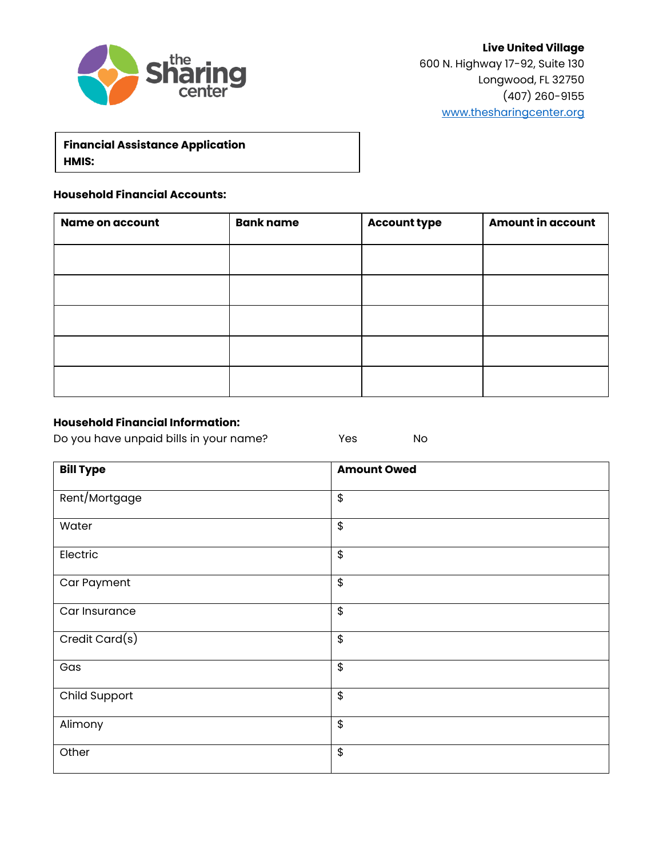

**Financial Assistance Application HMIS:**

#### **Household Financial Accounts:**

| Name on account | <b>Bank name</b> | <b>Account type</b> | <b>Amount in account</b> |
|-----------------|------------------|---------------------|--------------------------|
|                 |                  |                     |                          |
|                 |                  |                     |                          |
|                 |                  |                     |                          |
|                 |                  |                     |                          |
|                 |                  |                     |                          |

#### **Household Financial Information:**

Do you have unpaid bills in your name? The Yes No

| <b>Bill Type</b> | <b>Amount Owed</b>                |
|------------------|-----------------------------------|
| Rent/Mortgage    | \$                                |
| Water            | \$                                |
| Electric         | $\boldsymbol{\hat{\mathfrak{s}}}$ |
| Car Payment      | \$                                |
| Car Insurance    | $\boldsymbol{\hat{\varphi}}$      |
| Credit Card(s)   | \$                                |
| Gas              | \$                                |
| Child Support    | $\boldsymbol{\hat{\varphi}}$      |
| Alimony          | \$                                |
| Other            | $\boldsymbol{\hat{\varphi}}$      |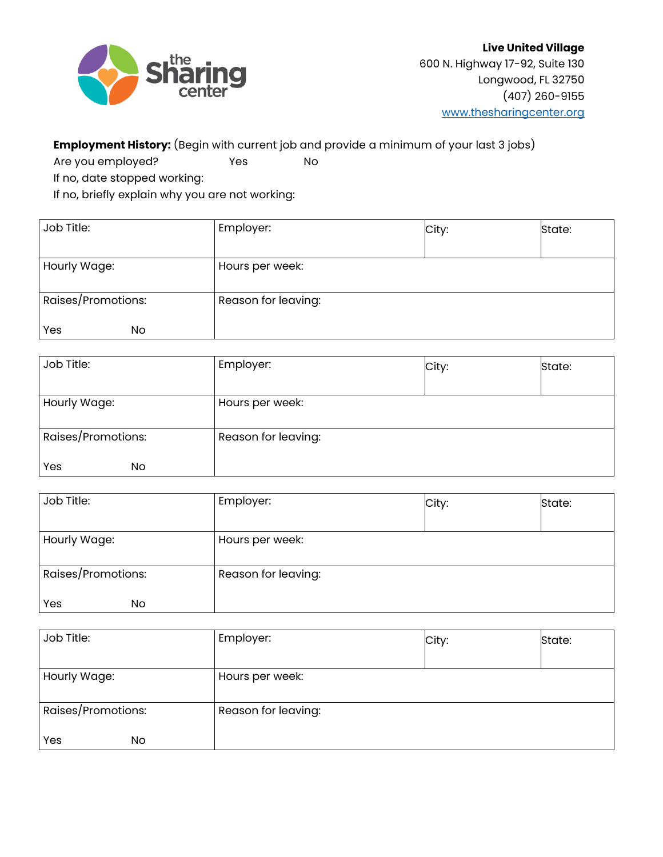

# **Employment History:** (Begin with current job and provide a minimum of your last 3 jobs)

Are you employed? No

If no, date stopped working:

If no, briefly explain why you are not working:

| Job Title:         | Employer:           | City: | State: |
|--------------------|---------------------|-------|--------|
|                    |                     |       |        |
| Hourly Wage:       | Hours per week:     |       |        |
|                    |                     |       |        |
| Raises/Promotions: | Reason for leaving: |       |        |
|                    |                     |       |        |
| Yes<br>No.         |                     |       |        |

| Job Title:         | Employer:           | City: | State: |
|--------------------|---------------------|-------|--------|
| Hourly Wage:       | Hours per week:     |       |        |
| Raises/Promotions: | Reason for leaving: |       |        |
| Yes<br>No          |                     |       |        |

| Job Title:         | Employer:           | City: | State: |
|--------------------|---------------------|-------|--------|
|                    |                     |       |        |
| Hourly Wage:       | Hours per week:     |       |        |
|                    |                     |       |        |
| Raises/Promotions: | Reason for leaving: |       |        |
|                    |                     |       |        |
| Yes<br>No          |                     |       |        |

| Job Title:         | Employer:           | City: | State: |
|--------------------|---------------------|-------|--------|
|                    |                     |       |        |
| Hourly Wage:       | Hours per week:     |       |        |
|                    |                     |       |        |
| Raises/Promotions: | Reason for leaving: |       |        |
|                    |                     |       |        |
| Yes<br>No.         |                     |       |        |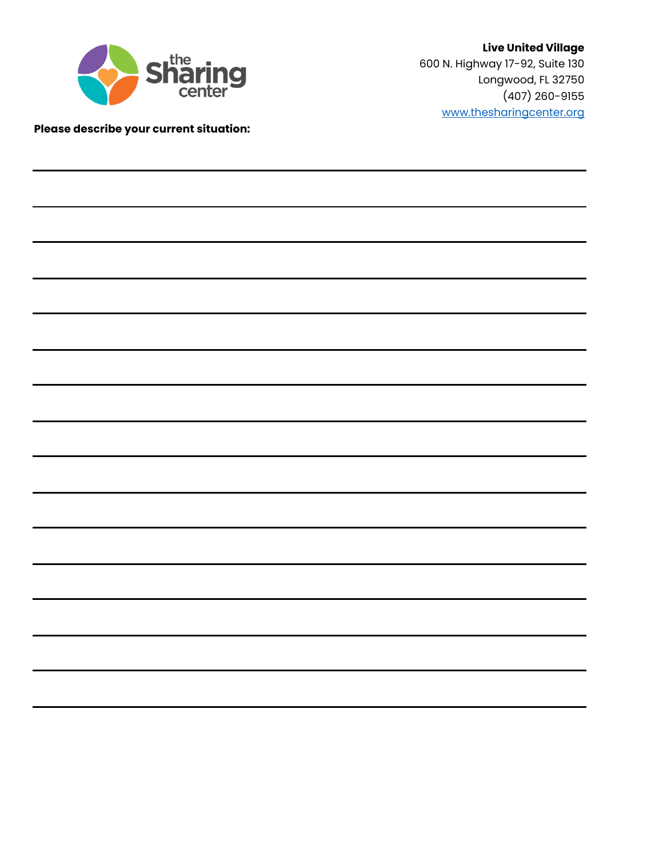

# **Please describe your current situation:**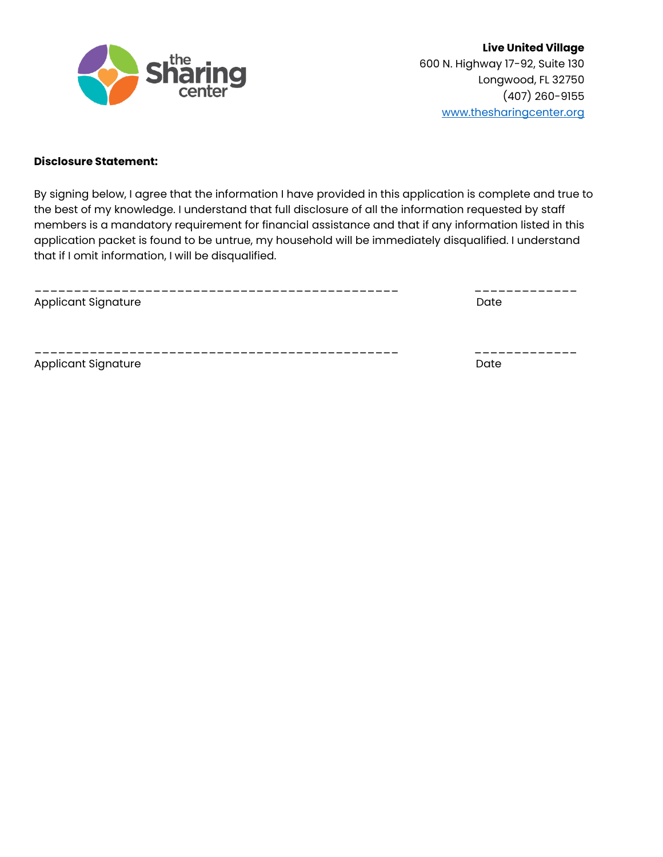

#### **Disclosure Statement:**

By signing below, I agree that the information I have provided in this application is complete and true to the best of my knowledge. I understand that full disclosure of all the information requested by staff members is a mandatory requirement for financial assistance and that if any information listed in this application packet is found to be untrue, my household will be immediately disqualified. I understand that if I omit information, I will be disqualified.

| <b>Applicant Signature</b> | Date |
|----------------------------|------|
|                            |      |
| <b>Applicant Signature</b> | Date |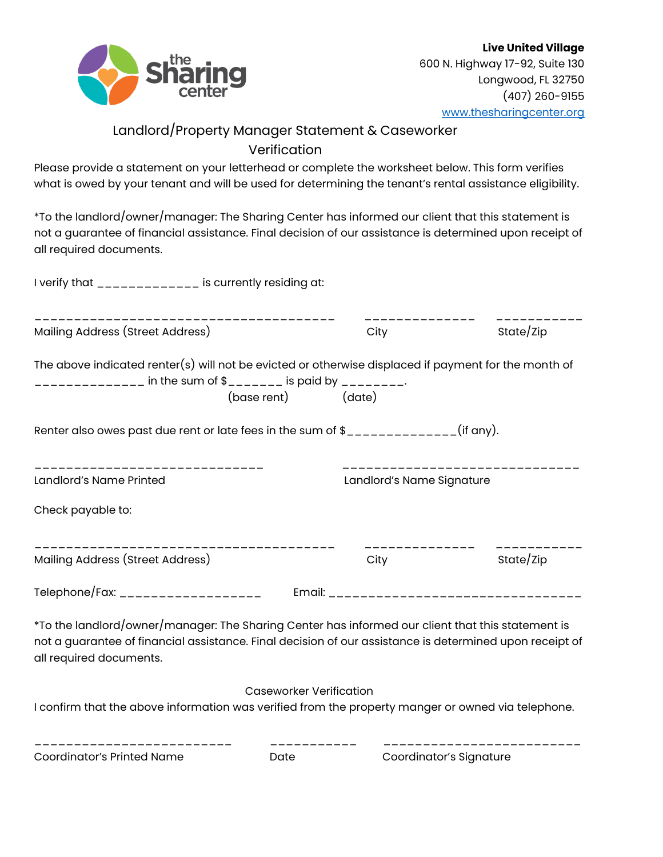

# Landlord/Property Manager Statement & Caseworker Verification

Please provide a statement on your letterhead or complete the worksheet below. This form verifies what is owed by your tenant and will be used for determining the tenant's rental assistance eligibility.

\*To the landlord/owner/manager: The Sharing Center has informed our client that this statement is not a guarantee of financial assistance. Final decision of our assistance is determined upon receipt of all required documents.

| I verify that _____________ is currently residing at:                                                                                                                                                                                      |                                |                           |           |
|--------------------------------------------------------------------------------------------------------------------------------------------------------------------------------------------------------------------------------------------|--------------------------------|---------------------------|-----------|
| Mailing Address (Street Address)                                                                                                                                                                                                           |                                | --------------<br>City    | State/Zip |
| The above indicated renter(s) will not be evicted or otherwise displaced if payment for the month of<br>_____________ in the sum of \$_______ is paid by _______.                                                                          | (base rent) (date)             |                           |           |
| Renter also owes past due rent or late fees in the sum of $\frac{1}{2}$ _____________(if any).                                                                                                                                             |                                |                           |           |
| Landlord's Name Printed                                                                                                                                                                                                                    |                                | Landlord's Name Signature |           |
| Check payable to:                                                                                                                                                                                                                          |                                |                           |           |
| Mailing Address (Street Address)                                                                                                                                                                                                           |                                | --------------<br>City    | State/Zip |
| Telephone/Fax: ____________________                                                                                                                                                                                                        |                                |                           |           |
| $*$ To the landlord/owner/manager: The Sharing Center has informed our client that this statement is<br>not a guarantee of financial assistance. Final decision of our assistance is determined upon receipt of<br>all required documents. |                                |                           |           |
| I confirm that the above information was verified from the property manger or owned via telephone.                                                                                                                                         | <b>Caseworker Verification</b> |                           |           |

\_\_\_\_\_\_\_\_\_\_\_\_\_\_\_\_\_\_\_\_\_\_\_\_\_ \_\_\_\_\_\_\_\_\_\_\_ \_\_\_\_\_\_\_\_\_\_\_\_\_\_\_\_\_\_\_\_\_\_\_\_\_

Coordinator's Printed Name Date Coordinator's Signature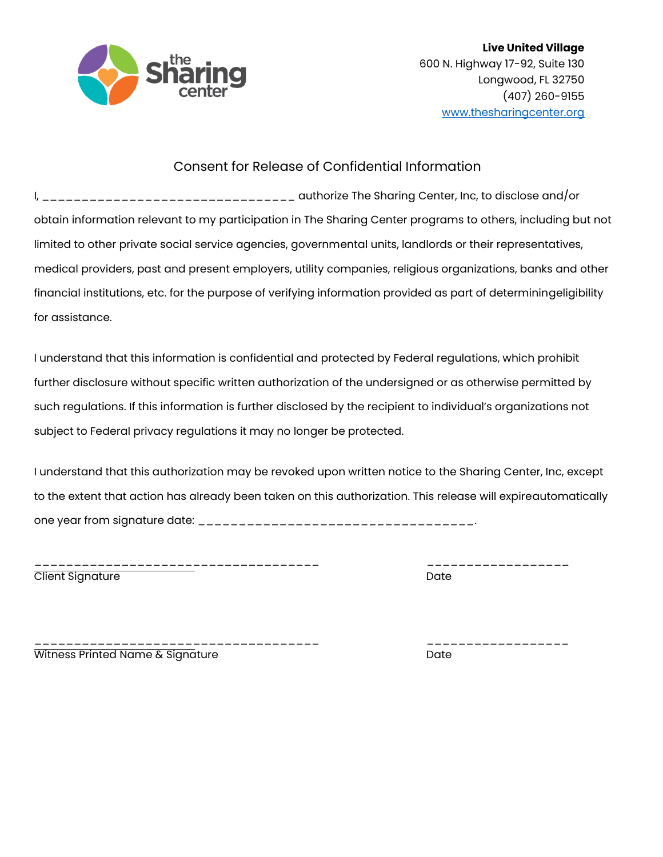

# Consent for Release of Confidential Information

I<sub>r</sub> \_\_\_\_\_\_\_\_\_\_\_\_\_\_\_\_\_\_\_\_\_\_\_\_\_\_\_\_\_\_\_\_\_ authorize The Sharing Center, Inc, to disclose and/or obtain information relevant to my participation in The Sharing Center programs to others, including but not limited to other private social service agencies, governmental units, landlords or their representatives, medical providers, past and present employers, utility companies, religious organizations, banks and other financial institutions, etc. for the purpose of verifying information provided as part of determiningeligibility for assistance.

I understand that this information is confidential and protected by Federal regulations, which prohibit further disclosure without specific written authorization of the undersigned or as otherwise permitted by such regulations. If this information is further disclosed by the recipient to individual's organizations not subject to Federal privacy regulations it may no longer be protected.

I understand that this authorization may be revoked upon written notice to the Sharing Center, Inc, except to the extent that action has already been taken on this authorization. This release will expireautomatically one year from signature date: \_\_\_\_\_\_\_\_\_\_\_\_\_\_\_\_\_\_\_\_\_\_\_\_\_\_\_\_\_\_\_\_\_\_.

\_\_\_\_\_\_\_\_\_\_\_\_\_\_\_\_\_\_\_\_\_\_\_\_\_\_\_\_\_\_\_\_\_\_\_\_ \_\_\_\_\_\_\_\_\_\_\_\_\_\_\_\_\_\_ Client Signature

\_\_\_\_\_\_\_\_\_\_\_\_\_\_\_\_\_\_\_\_\_\_\_\_\_\_\_\_\_\_\_\_\_\_\_\_ \_\_\_\_\_\_\_\_\_\_\_\_\_\_\_\_\_\_ Witness Printed Name & Signature data and the Date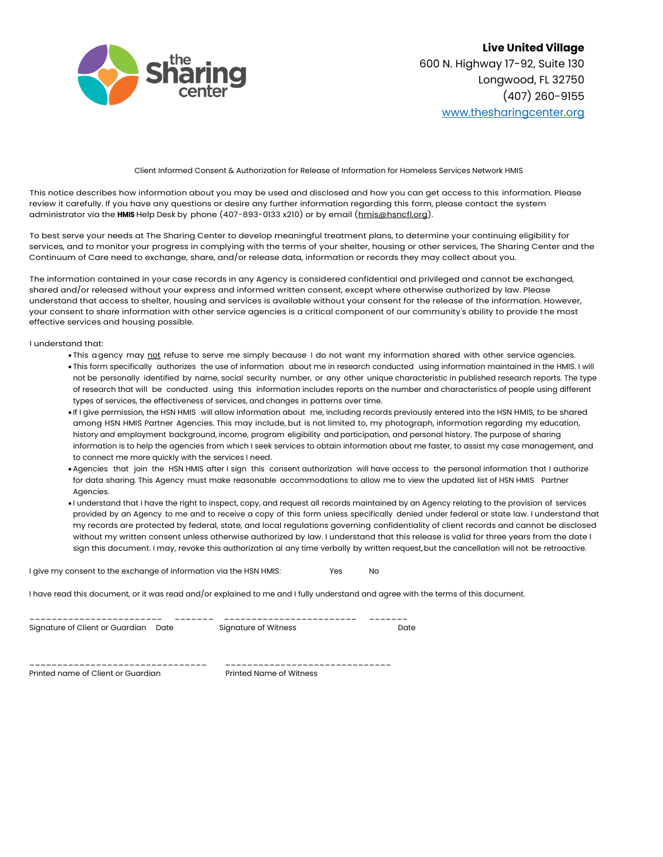

Client Informed Consent & Authorization for Release of Information for Homeless Services Network HMIS

This notice describes how information about you may be used and disclosed and how you can get access to this information. Please review it carefully. If you have any questions or desire any further information regarding this form, please contact the system administrator via the H**HMIS** Help Desk by phone (407-893-0133 x210) or by email [\(hmis@hsncfl.org\)](mailto:hmis@hsncfl.org).

To best serve your needs at The Sharing Center to develop meaningful treatment plans, to determine your continuing eligibility for services, and to monitor your progress in complying with the terms of your shelter, housing or other services, The Sharing Center and the Continuum of Care need to exchange, share, and/or release data, information or records they may collect about you.

The information contained in your case records in any Agency is considered confidential and privileged and cannot be exchanged, shared and/or released without your express and informed written consent, except where otherwise authorized by law. Please understand that access to shelter, housing and services is available without your consent for the release of the information. However, your consent to share information with other service agencies is a critical component of our community's ability to provide the most effective services and housing possible.

I understand that:

- This agency may not refuse to serve me simply because I do not want my information shared with other service agencies. • This form specifically authorizes the use of information about me in research conducted using information maintained in the HMIS. I will not be personally identified by name, social security number, or any other unique characteristic in published research reports. The type of research that will be conducted using this information includes reports on the number and characteristics of people using different types of services, the effectiveness of services, and changes in patterns over time.
- If I give permission, the HSN HMIS will allow information about me, including records previously entered into the HSN HMIS, to be shared among HSN HMIS Partner Agencies. This may include, but is not limited to, my photograph, information regarding my education, history and employment background, income, program eligibility and participation, and personal history. The purpose of sharing information is to help the agencies from which I seek services to obtain information about me faster, to assist my case management, and to connect me more quickly with the services I need.
- Agencies that join the HSN HMIS after I sign this consent authorization will have access to the personal information that I authorize for data sharing. This Agency must make reasonable accommodations to allow me to view the updated list of HSN HMIS Partner Agencies.
- I understand that I have the right to inspect, copy, and request all records maintained by an Agency relating to the provision of services provided by an Agency to me and to receive a copy of this form unless specifically denied under federal or state law. I understand that my records are protected by federal, state, and local regulations governing confidentiality of client records and cannot be disclosed without my written consent unless otherwise authorized by law. I understand that this release is valid for three years from the date I sign this document. I may, revoke this authorization al any time verbally by written request, but the cancellation will not be retroactive.

I give my consent to the exchange of information via the HSN HMIS: Yes No

I have read this document, or it was read and/or explained to me and I fully understand and agree with the terms of this document.

| Signature of Client or Guardian Date | Signature of Witness | Date |
|--------------------------------------|----------------------|------|
|                                      |                      |      |
|                                      |                      |      |

Printed name of Client or Guardian **Printed Name of Witness**